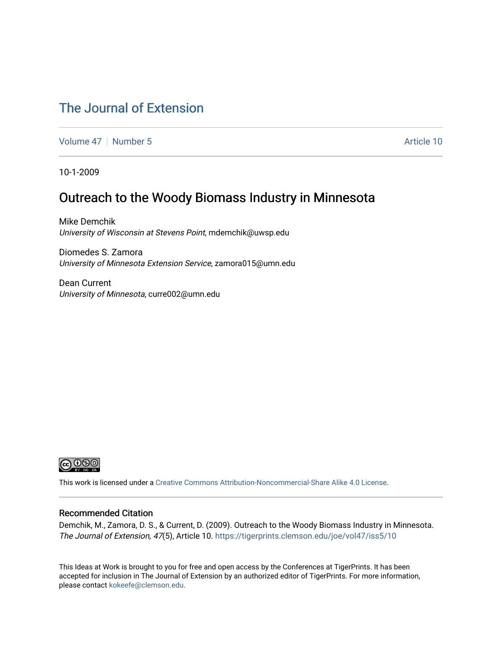## [The Journal of Extension](https://tigerprints.clemson.edu/joe)

[Volume 47](https://tigerprints.clemson.edu/joe/vol47) | [Number 5](https://tigerprints.clemson.edu/joe/vol47/iss5) Article 10

10-1-2009

## Outreach to the Woody Biomass Industry in Minnesota

Mike Demchik University of Wisconsin at Stevens Point, mdemchik@uwsp.edu

Diomedes S. Zamora University of Minnesota Extension Service, zamora015@umn.edu

Dean Current University of Minnesota, curre002@umn.edu



This work is licensed under a [Creative Commons Attribution-Noncommercial-Share Alike 4.0 License.](https://creativecommons.org/licenses/by-nc-sa/4.0/)

#### Recommended Citation

Demchik, M., Zamora, D. S., & Current, D. (2009). Outreach to the Woody Biomass Industry in Minnesota. The Journal of Extension, 47(5), Article 10. <https://tigerprints.clemson.edu/joe/vol47/iss5/10>

This Ideas at Work is brought to you for free and open access by the Conferences at TigerPrints. It has been accepted for inclusion in The Journal of Extension by an authorized editor of TigerPrints. For more information, please contact [kokeefe@clemson.edu](mailto:kokeefe@clemson.edu).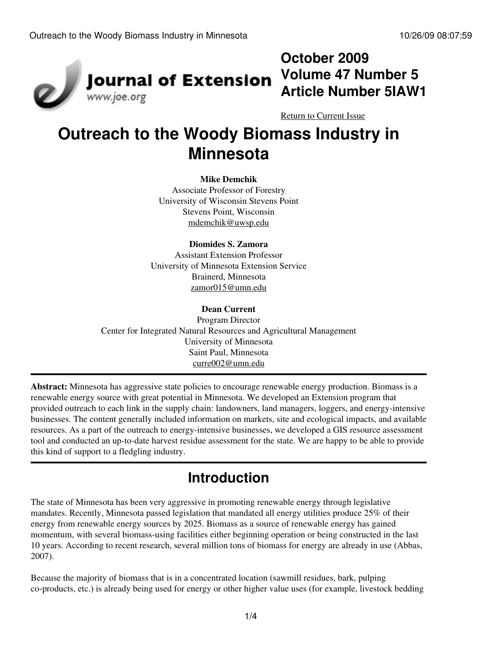

# **October 2009 Volume 47 Number 5 Article Number 5IAW1**

[Return to Current Issue](http://www.joe.org:80/joe/2009october/)

# **Outreach to the Woody Biomass Industry in Minnesota**

#### **Mike Demchik**

Associate Professor of Forestry University of Wisconsin Stevens Point Stevens Point, Wisconsin [mdemchik@uwsp.edu](mailto:mdemchik@uwsp.edu)

#### **Diomides S. Zamora**

Assistant Extension Professor University of Minnesota Extension Service Brainerd, Minnesota [zamor015@umn.edu](mailto:zamor015@umn.edu)

#### **Dean Current**

Program Director Center for Integrated Natural Resources and Agricultural Management University of Minnesota Saint Paul, Minnesota [curre002@umn.edu](mailto:curre002@umn.edu)

**Abstract:** Minnesota has aggressive state policies to encourage renewable energy production. Biomass is a renewable energy source with great potential in Minnesota. We developed an Extension program that provided outreach to each link in the supply chain: landowners, land managers, loggers, and energy-intensive businesses. The content generally included information on markets, site and ecological impacts, and available resources. As a part of the outreach to energy-intensive businesses, we developed a GIS resource assessment tool and conducted an up-to-date harvest residue assessment for the state. We are happy to be able to provide this kind of support to a fledgling industry.

# **Introduction**

The state of Minnesota has been very aggressive in promoting renewable energy through legislative mandates. Recently, Minnesota passed legislation that mandated all energy utilities produce 25% of their energy from renewable energy sources by 2025. Biomass as a source of renewable energy has gained momentum, with several biomass-using facilities either beginning operation or being constructed in the last 10 years. According to recent research, several million tons of biomass for energy are already in use (Abbas, 2007).

Because the majority of biomass that is in a concentrated location (sawmill residues, bark, pulping co-products, etc.) is already being used for energy or other higher value uses (for example, livestock bedding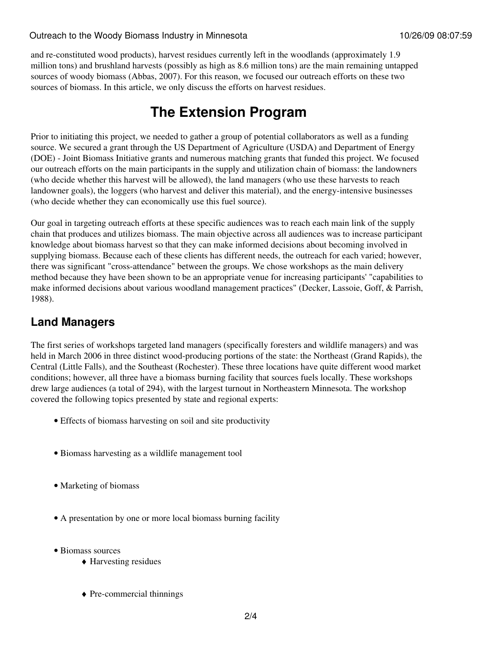#### Outreach to the Woody Biomass Industry in Minnesota 10/26/09 08:07:59

and re-constituted wood products), harvest residues currently left in the woodlands (approximately 1.9 million tons) and brushland harvests (possibly as high as 8.6 million tons) are the main remaining untapped sources of woody biomass (Abbas, 2007). For this reason, we focused our outreach efforts on these two sources of biomass. In this article, we only discuss the efforts on harvest residues.

## **The Extension Program**

Prior to initiating this project, we needed to gather a group of potential collaborators as well as a funding source. We secured a grant through the US Department of Agriculture (USDA) and Department of Energy (DOE) - Joint Biomass Initiative grants and numerous matching grants that funded this project. We focused our outreach efforts on the main participants in the supply and utilization chain of biomass: the landowners (who decide whether this harvest will be allowed), the land managers (who use these harvests to reach landowner goals), the loggers (who harvest and deliver this material), and the energy-intensive businesses (who decide whether they can economically use this fuel source).

Our goal in targeting outreach efforts at these specific audiences was to reach each main link of the supply chain that produces and utilizes biomass. The main objective across all audiences was to increase participant knowledge about biomass harvest so that they can make informed decisions about becoming involved in supplying biomass. Because each of these clients has different needs, the outreach for each varied; however, there was significant "cross-attendance" between the groups. We chose workshops as the main delivery method because they have been shown to be an appropriate venue for increasing participants' "capabilities to make informed decisions about various woodland management practices" (Decker, Lassoie, Goff, & Parrish, 1988).

## **Land Managers**

The first series of workshops targeted land managers (specifically foresters and wildlife managers) and was held in March 2006 in three distinct wood-producing portions of the state: the Northeast (Grand Rapids), the Central (Little Falls), and the Southeast (Rochester). These three locations have quite different wood market conditions; however, all three have a biomass burning facility that sources fuels locally. These workshops drew large audiences (a total of 294), with the largest turnout in Northeastern Minnesota. The workshop covered the following topics presented by state and regional experts:

- Effects of biomass harvesting on soil and site productivity
- Biomass harvesting as a wildlife management tool
- Marketing of biomass
- A presentation by one or more local biomass burning facility
- Biomass sources
	- ♦ Harvesting residues
	- ♦ Pre-commercial thinnings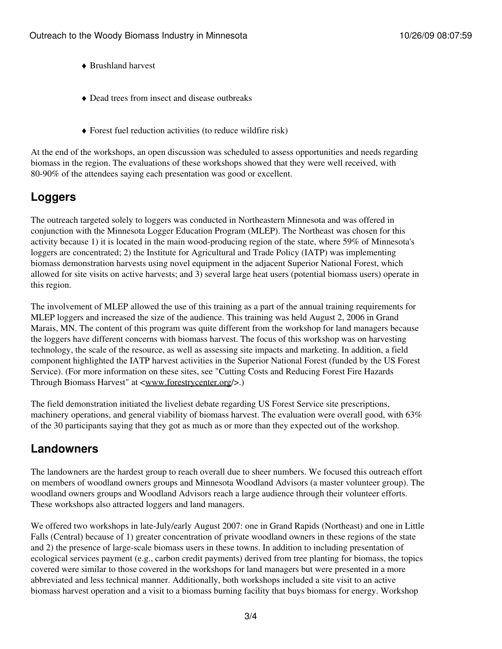- ♦ Brushland harvest
- ♦ Dead trees from insect and disease outbreaks
- $\triangle$  Forest fuel reduction activities (to reduce wildfire risk)

At the end of the workshops, an open discussion was scheduled to assess opportunities and needs regarding biomass in the region. The evaluations of these workshops showed that they were well received, with 80-90% of the attendees saying each presentation was good or excellent.

## **Loggers**

The outreach targeted solely to loggers was conducted in Northeastern Minnesota and was offered in conjunction with the Minnesota Logger Education Program (MLEP). The Northeast was chosen for this activity because 1) it is located in the main wood-producing region of the state, where 59% of Minnesota's loggers are concentrated; 2) the Institute for Agricultural and Trade Policy (IATP) was implementing biomass demonstration harvests using novel equipment in the adjacent Superior National Forest, which allowed for site visits on active harvests; and 3) several large heat users (potential biomass users) operate in this region.

The involvement of MLEP allowed the use of this training as a part of the annual training requirements for MLEP loggers and increased the size of the audience. This training was held August 2, 2006 in Grand Marais, MN. The content of this program was quite different from the workshop for land managers because the loggers have different concerns with biomass harvest. The focus of this workshop was on harvesting technology, the scale of the resource, as well as assessing site impacts and marketing. In addition, a field component highlighted the IATP harvest activities in the Superior National Forest (funded by the US Forest Service). (For more information on these sites, see "Cutting Costs and Reducing Forest Fire Hazards Through Biomass Harvest" at [<www.forestrycenter.org](http://www.forestrycenter.org/)/>.)

The field demonstration initiated the liveliest debate regarding US Forest Service site prescriptions, machinery operations, and general viability of biomass harvest. The evaluation were overall good, with 63% of the 30 participants saying that they got as much as or more than they expected out of the workshop.

### **Landowners**

The landowners are the hardest group to reach overall due to sheer numbers. We focused this outreach effort on members of woodland owners groups and Minnesota Woodland Advisors (a master volunteer group). The woodland owners groups and Woodland Advisors reach a large audience through their volunteer efforts. These workshops also attracted loggers and land managers.

We offered two workshops in late-July/early August 2007: one in Grand Rapids (Northeast) and one in Little Falls (Central) because of 1) greater concentration of private woodland owners in these regions of the state and 2) the presence of large-scale biomass users in these towns. In addition to including presentation of ecological services payment (e.g., carbon credit payments) derived from tree planting for biomass, the topics covered were similar to those covered in the workshops for land managers but were presented in a more abbreviated and less technical manner. Additionally, both workshops included a site visit to an active biomass harvest operation and a visit to a biomass burning facility that buys biomass for energy. Workshop